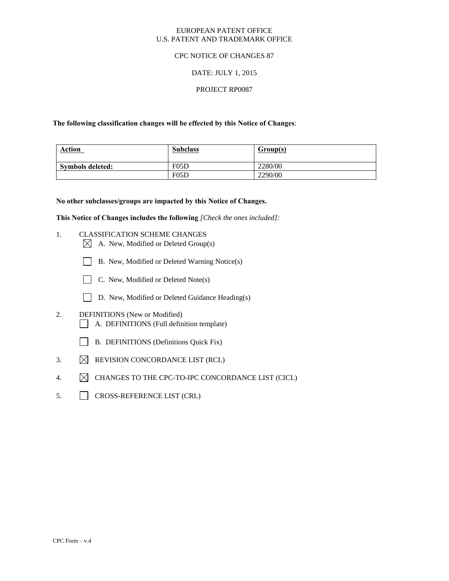## EUROPEAN PATENT OFFICE U.S. PATENT AND TRADEMARK OFFICE

## CPC NOTICE OF CHANGES 87

# DATE: JULY 1, 2015

## PROJECT RP0087

## **The following classification changes will be effected by this Notice of Changes**:

| <b>Action</b>    | <b>Subclass</b> | Group(s) |
|------------------|-----------------|----------|
| Symbols deleted: | F05D            | 2280/00  |
|                  | F05D            | 2290/00  |

#### **No other subclasses/groups are impacted by this Notice of Changes.**

**This Notice of Changes includes the following** *[Check the ones included]:*

- 1. CLASSIFICATION SCHEME CHANGES
	- $\boxtimes$  A. New, Modified or Deleted Group(s)
	- B. New, Modified or Deleted Warning Notice(s)
	- $\Box$  C. New, Modified or Deleted Note(s)
	- D. New, Modified or Deleted Guidance Heading(s)
- 2. DEFINITIONS (New or Modified) A. DEFINITIONS (Full definition template)
	- B. DEFINITIONS (Definitions Quick Fix)
- 3.  $\boxtimes$  REVISION CONCORDANCE LIST (RCL)
- 4.  $\boxtimes$  CHANGES TO THE CPC-TO-IPC CONCORDANCE LIST (CICL)
- 5. CROSS-REFERENCE LIST (CRL)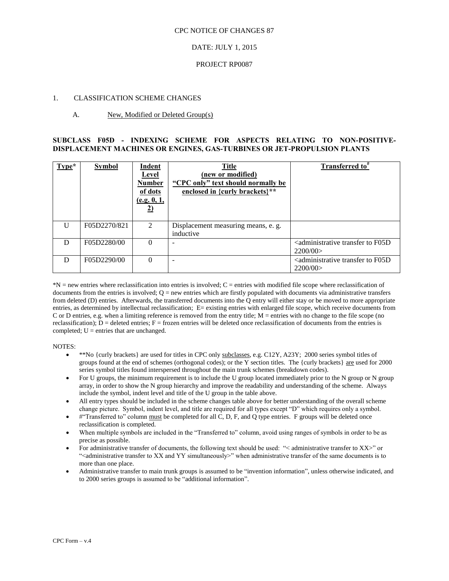#### CPC NOTICE OF CHANGES 87

## DATE: JULY 1, 2015

#### PROJECT RP0087

#### 1. CLASSIFICATION SCHEME CHANGES

### A. New, Modified or Deleted Group(s)

## **SUBCLASS F05D - INDEXING SCHEME FOR ASPECTS RELATING TO NON-POSITIVE-DISPLACEMENT MACHINES OR ENGINES, GAS-TURBINES OR JET-PROPULSION PLANTS**

| $Type*$      | <b>Symbol</b> | <b>Indent</b><br>Level<br><b>Number</b><br>of dots<br>(e.g. 0, 1,<br><u>2)</u> | <b>Title</b><br>(new or modified)<br>"CPC only" text should normally be<br>enclosed in {curly brackets}** | <b>Transferred</b> to <sup>#</sup>                                    |
|--------------|---------------|--------------------------------------------------------------------------------|-----------------------------------------------------------------------------------------------------------|-----------------------------------------------------------------------|
| $\mathbf{I}$ | F05D2270/821  | 2                                                                              | Displacement measuring means, e. g.<br>inductive                                                          |                                                                       |
| D            | F05D2280/00   | 0                                                                              |                                                                                                           | <administrative f05d<br="" to="" transfer="">2200/00</administrative> |
| D            | F05D2290/00   | 0                                                                              |                                                                                                           | <administrative f05d<br="" to="" transfer="">2200/00</administrative> |

 $N =$  new entries where reclassification into entries is involved;  $C =$  entries with modified file scope where reclassification of documents from the entries is involved;  $Q = new$  entries which are firstly populated with documents via administrative transfers from deleted (D) entries. Afterwards, the transferred documents into the Q entry will either stay or be moved to more appropriate entries, as determined by intellectual reclassification; E= existing entries with enlarged file scope, which receive documents from C or D entries, e.g. when a limiting reference is removed from the entry title; M = entries with no change to the file scope (no reclassification);  $D =$  deleted entries;  $F =$  frozen entries will be deleted once reclassification of documents from the entries is completed;  $U =$  entries that are unchanged.

#### NOTES:

- \*\*No {curly brackets} are used for titles in CPC only subclasses, e.g. C12Y, A23Y; 2000 series symbol titles of groups found at the end of schemes (orthogonal codes); or the Y section titles. The {curly brackets} are used for 2000 series symbol titles found interspersed throughout the main trunk schemes (breakdown codes).
- For U groups, the minimum requirement is to include the U group located immediately prior to the N group or N group array, in order to show the N group hierarchy and improve the readability and understanding of the scheme. Always include the symbol, indent level and title of the U group in the table above.
- All entry types should be included in the scheme changes table above for better understanding of the overall scheme change picture. Symbol, indent level, and title are required for all types except "D" which requires only a symbol.
- #"Transferred to" column must be completed for all C, D, F, and Q type entries. F groups will be deleted once reclassification is completed.
- When multiple symbols are included in the "Transferred to" column, avoid using ranges of symbols in order to be as precise as possible.
- For administrative transfer of documents, the following text should be used: "< administrative transfer to XX>" or "<administrative transfer to XX and YY simultaneously>" when administrative transfer of the same documents is to more than one place.
- Administrative transfer to main trunk groups is assumed to be "invention information", unless otherwise indicated, and to 2000 series groups is assumed to be "additional information".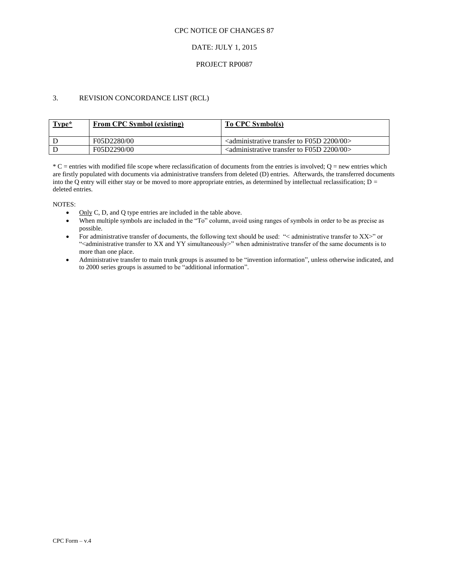## CPC NOTICE OF CHANGES 87

# DATE: JULY 1, 2015

## PROJECT RP0087

# 3. REVISION CONCORDANCE LIST (RCL)

| Type* | <b>From CPC Symbol (existing)</b> | To CPC Symbol(s)                                                                            |
|-------|-----------------------------------|---------------------------------------------------------------------------------------------|
|       | F05D2280/00                       | $\alpha$ <administrative 00<math="" 2200="" f05d="" to="" transfer="">&gt;</administrative> |
|       | F05D2290/00                       | $\alpha$ <administrative 00<math="" 2200="" f05d="" to="" transfer="">&gt;</administrative> |

 $*C$  = entries with modified file scope where reclassification of documents from the entries is involved; Q = new entries which are firstly populated with documents via administrative transfers from deleted (D) entries. Afterwards, the transferred documents into the Q entry will either stay or be moved to more appropriate entries, as determined by intellectual reclassification;  $D =$ deleted entries.

NOTES:

- $\bullet$  Only C, D, and Q type entries are included in the table above.
- When multiple symbols are included in the "To" column, avoid using ranges of symbols in order to be as precise as possible.
- For administrative transfer of documents, the following text should be used: "< administrative transfer to XX>" or "<administrative transfer to XX and YY simultaneously>" when administrative transfer of the same documents is to more than one place.
- Administrative transfer to main trunk groups is assumed to be "invention information", unless otherwise indicated, and to 2000 series groups is assumed to be "additional information".